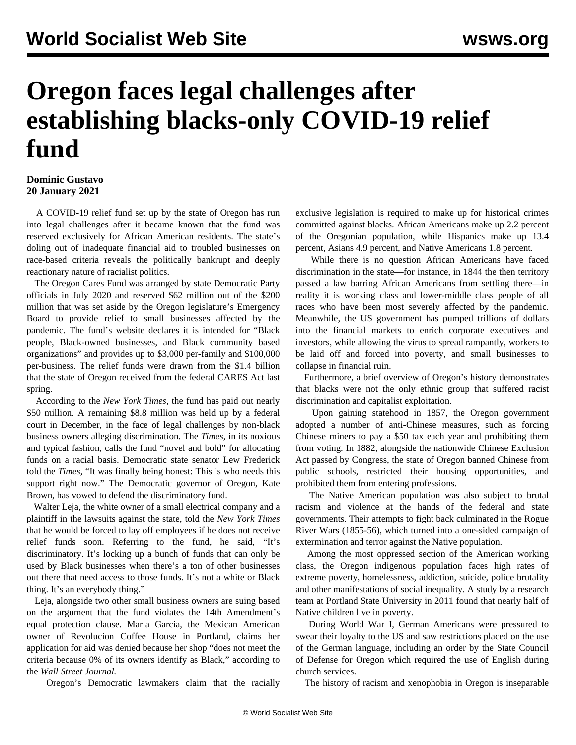## **Oregon faces legal challenges after establishing blacks-only COVID-19 relief fund**

## **Dominic Gustavo 20 January 2021**

 A COVID-19 relief fund set up by the state of Oregon has run into legal challenges after it became known that the fund was reserved exclusively for African American residents. The state's doling out of inadequate financial aid to troubled businesses on race-based criteria reveals the politically bankrupt and deeply reactionary nature of racialist politics.

 The Oregon Cares Fund was arranged by state Democratic Party officials in July 2020 and reserved \$62 million out of the \$200 million that was set aside by the Oregon legislature's Emergency Board to provide relief to small businesses affected by the pandemic. The fund's website declares it is intended for "Black people, Black-owned businesses, and Black community based organizations" and provides up to \$3,000 per-family and \$100,000 per-business. The relief funds were drawn from the \$1.4 billion that the state of Oregon received from the federal CARES Act last spring.

 According to the *New York Times*, the fund has paid out nearly \$50 million. A remaining \$8.8 million was held up by a federal court in December, in the face of legal challenges by non-black business owners alleging discrimination. The *Times*, in its noxious and typical fashion, calls the fund "novel and bold" for allocating funds on a racial basis. Democratic state senator Lew Frederick told the *Times*, "It was finally being honest: This is who needs this support right now." The Democratic governor of Oregon, Kate Brown, has vowed to defend the discriminatory fund.

 Walter Leja, the white owner of a small electrical company and a plaintiff in the lawsuits against the state, told the *New York Times* that he would be forced to lay off employees if he does not receive relief funds soon. Referring to the fund, he said, "It's discriminatory. It's locking up a bunch of funds that can only be used by Black businesses when there's a ton of other businesses out there that need access to those funds. It's not a white or Black thing. It's an everybody thing."

 Leja, alongside two other small business owners are suing based on the argument that the fund violates the 14th Amendment's equal protection clause. Maria Garcia, the Mexican American owner of Revolucion Coffee House in Portland, claims her application for aid was denied because her shop "does not meet the criteria because 0% of its owners identify as Black," according to the *Wall Street Journal.*

Oregon's Democratic lawmakers claim that the racially

exclusive legislation is required to make up for historical crimes committed against blacks. African Americans make up 2.2 percent of the Oregonian population, while Hispanics make up 13.4 percent, Asians 4.9 percent, and Native Americans 1.8 percent.

 While there is no question African Americans have faced discrimination in the state—for instance, in 1844 the then territory passed a law barring African Americans from settling there—in reality it is working class and lower-middle class people of all races who have been most severely affected by the pandemic. Meanwhile, the US government has pumped trillions of dollars into the financial markets to enrich corporate executives and investors, while allowing the virus to spread rampantly, workers to be laid off and forced into poverty, and small businesses to collapse in financial ruin.

 Furthermore, a brief overview of Oregon's history demonstrates that blacks were not the only ethnic group that suffered racist discrimination and capitalist exploitation.

 Upon gaining statehood in 1857, the Oregon government adopted a number of anti-Chinese measures, such as forcing Chinese miners to pay a \$50 tax each year and prohibiting them from voting. In 1882, alongside the nationwide Chinese Exclusion Act passed by Congress, the state of Oregon banned Chinese from public schools, restricted their housing opportunities, and prohibited them from entering professions.

 The Native American population was also subject to brutal racism and violence at the hands of the federal and state governments. Their attempts to fight back culminated in the Rogue River Wars (1855-56), which turned into a one-sided campaign of extermination and terror against the Native population.

 Among the most oppressed section of the American working class, the Oregon indigenous population faces high rates of extreme poverty, homelessness, addiction, suicide, police brutality and other manifestations of social inequality. A study by a research team at Portland State University in 2011 found that nearly half of Native children live in poverty.

 During World War I, German Americans were pressured to swear their loyalty to the US and saw restrictions placed on the use of the German language, including an order by the State Council of Defense for Oregon which required the use of English during church services.

The history of racism and xenophobia in Oregon is inseparable